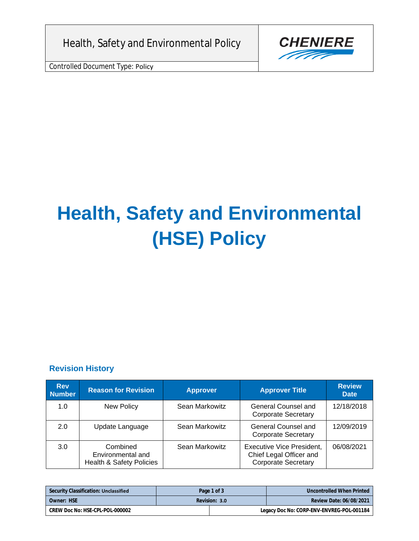Health, Safety and Environmental Policy

Controlled Document Type: Policy



# **Health, Safety and Environmental (HSE) Policy**

#### **Revision History**

| <b>Rev</b><br><b>Number</b> | <b>Reason for Revision</b>                                           | <b>Approver</b> | <b>Approver Title</b>                                                                     | <b>Review</b><br><b>Date</b> |
|-----------------------------|----------------------------------------------------------------------|-----------------|-------------------------------------------------------------------------------------------|------------------------------|
| 1.0                         | New Policy                                                           | Sean Markowitz  | General Counsel and<br><b>Corporate Secretary</b>                                         | 12/18/2018                   |
| 2.0                         | Update Language                                                      | Sean Markowitz  | General Counsel and<br><b>Corporate Secretary</b>                                         | 12/09/2019                   |
| 3.0                         | Combined<br>Environmental and<br><b>Health &amp; Safety Policies</b> | Sean Markowitz  | <b>Executive Vice President,</b><br>Chief Legal Officer and<br><b>Corporate Secretary</b> | 06/08/2021                   |

| Security Classification: Unclassified | Page 1 of 3   |  | Uncontrolled When Printed                 |
|---------------------------------------|---------------|--|-------------------------------------------|
| Owner: HSE                            | Revision: 3.0 |  | Review Date: 06/08/2021                   |
| CREW Doc No: HSE-CPL-POL-000002       |               |  | Legacy Doc No: CORP-ENV-ENVREG-POL-001184 |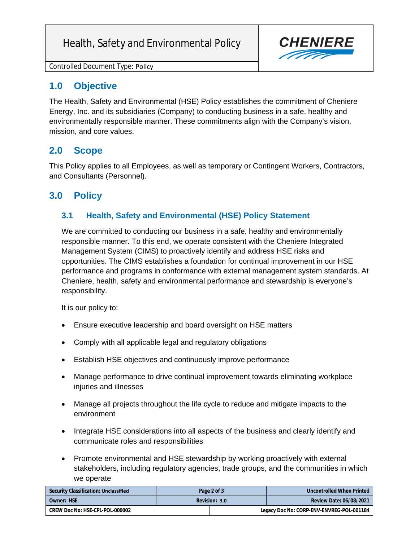# Health, Safety and Environmental Policy



Controlled Document Type: Policy

### **1.0 Objective**

The Health, Safety and Environmental (HSE) Policy establishes the commitment of Cheniere Energy, Inc. and its subsidiaries (Company) to conducting business in a safe, healthy and environmentally responsible manner. These commitments align with the Company's vision, mission, and core values.

#### **2.0 Scope**

This Policy applies to all Employees, as well as temporary or Contingent Workers, Contractors, and Consultants (Personnel).

## **3.0 Policy**

#### **3.1 Health, Safety and Environmental (HSE) Policy Statement**

We are committed to conducting our business in a safe, healthy and environmentally responsible manner. To this end, we operate consistent with the Cheniere Integrated Management System (CIMS) to proactively identify and address HSE risks and opportunities. The CIMS establishes a foundation for continual improvement in our HSE performance and programs in conformance with external management system standards. At Cheniere, health, safety and environmental performance and stewardship is everyone's responsibility.

It is our policy to:

- Ensure executive leadership and board oversight on HSE matters
- Comply with all applicable legal and regulatory obligations
- Establish HSE objectives and continuously improve performance
- Manage performance to drive continual improvement towards eliminating workplace injuries and illnesses
- Manage all projects throughout the life cycle to reduce and mitigate impacts to the environment
- Integrate HSE considerations into all aspects of the business and clearly identify and communicate roles and responsibilities
- Promote environmental and HSE stewardship by working proactively with external stakeholders, including regulatory agencies, trade groups, and the communities in which we operate

| Security Classification: Unclassified | Page 2 of 3 | Uncontrolled When Printed                 |
|---------------------------------------|-------------|-------------------------------------------|
| Owner: HSE<br>Revision: 3.0           |             | Review Date: 06/08/2021                   |
| CREW Doc No: HSE-CPL-POL-000002       |             | Legacy Doc No: CORP-ENV-ENVREG-POL-001184 |